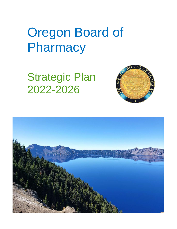Oregon Board of **Pharmacy** 

Strategic Plan 2022-2026



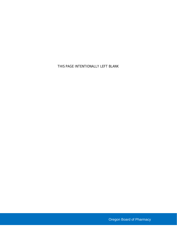THIS PAGE INTENTIONALLY LEFT BLANK

Oregon Board of Pharmacy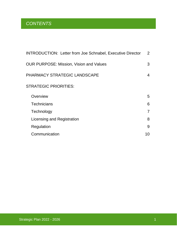# *CONTENTS*

| <b>INTRODUCTION: Letter from Joe Schnabel, Executive Director</b> | $\overline{2}$ |
|-------------------------------------------------------------------|----------------|
| <b>OUR PURPOSE: Mission, Vision and Values</b>                    | 3              |
| <b>PHARMACY STRATEGIC LANDSCAPE</b>                               | 4              |
| <b>STRATEGIC PRIORITIES:</b>                                      |                |
| Overview                                                          | 5              |
| <b>Technicians</b>                                                | 6              |
| Technology                                                        | $\overline{7}$ |
| Licensing and Registration                                        | 8              |
| Regulation                                                        | 9              |
| Communication                                                     | 10             |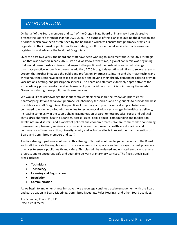# *INTRODUCTION*

On behalf of the Board members and staff of the Oregon State Board of Pharmacy, I am pleased to present the Board's Strategic Plan for 2022-2026. The purpose of this plan is to outline the direction and priorities which have been established by the Board and which will ensure that pharmacy practice is regulated in the interest of public health and safety, result in exceptional service to our licensees and registrants, and advance the health of Oregonians.

Over the past two years, the board and staff have been working to implement the 2020-2024 Strategic Plan that was adopted in early 2020. Little did we know at that time, a global pandemic was beginning that would present extraordinary challenges to the public and the profession and would change pharmacy practice in significant ways. In addition, 2020 brought devastating wildfires to several areas in Oregon that further impacted the public and profession. Pharmacists, interns and pharmacy technicians throughout the state have been asked to go above and beyond their already demanding roles to provide vaccinations, testing, and prescription services. The board and staff are extremely appreciative of the extraordinary professionalism and selflessness of pharmacists and technicians in serving the needs of Oregonians during these public health emergencies.

We would like to acknowledge the input of stakeholders who share their views on priorities for pharmacy regulation that allows pharmacists, pharmacy technicians and drug outlets to provide the best possible care to all Oregonians. The practice of pharmacy and pharmaceutical supply chain have continued to undergo profound change due to technological advances, changes in healthcare delivery, increasing complexity in the supply chain, fragmentation of care, remote practice, social and political shifts, drug shortages, health disparities, access issues, opioid abuse, compounding and medication safety, natural disasters, and a variety of political and economic forces. We are committed to continuing to assure that pharmacy services are provided in a way that prevents healthcare disparities and to continue our affirmative action, diversity, equity and inclusion efforts in recruitment and retention of Board and Committee members and staff.

The five strategic goal areas outlined in this Strategic Plan will continue to guide the work of the Board and staff to create the regulatory structure necessary to incorporate and encourage the best pharmacy practices to ensure public health and safety. This plan will be reviewed and updated annually to assess progress and to encourage safe and equitable delivery of pharmacy services. The five strategic goal areas include:

- **Technicians**
- **Technology**
- **Licensing and Registration**
- **Regulation**
- **Communication**

As we begin to implement these initiatives, we encourage continued active engagement with the Board and participation in Board Meetings, Committee Meetings, Rules Hearings, and other Board activities.

Joe Schnabel, Pharm.D., R.Ph. Executive Director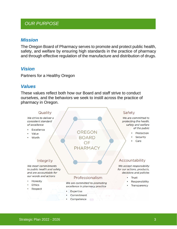# *OUR PURPOSE*

## *Mission*

The Oregon Board of Pharmacy serves to promote and protect public health, safety, and welfare by ensuring high standards in the practice of pharmacy and through effective regulation of the manufacture and distribution of drugs.

### *Vision*

Partners for a Healthy Oregon

### *Values*

These values reflect both how our Board and staff strive to conduct ourselves, and the behaviors we seek to instill across the practice of pharmacy in Oregon.

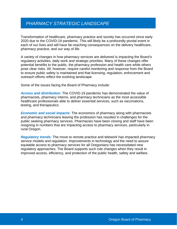## *PHARMACY STRATEGIC LANDSCAPE*

Transformation of healthcare, pharmacy practice and society has occurred since early 2020 due to the COVID-19 pandemic. This will likely be a profoundly pivotal event in each of our lives and will have far-reaching consequences on the delivery healthcare, pharmacy practice, and our way of life.

A variety of changes in how pharmacy services are delivered is impacting the Board's regulatory activities, daily work and strategic priorities. Many of these changes offer potential benefits to the public, the pharmacy profession and health care while others pose clear risks. All, however, require careful monitoring and response from the Board to ensure public safety is maintained and that licensing, regulation, enforcement and outreach efforts reflect the evolving landscape.

Some of the issues facing the Board of Pharmacy include:

*Access and distribution:* The COVID-19 pandemic has demonstrated the value of pharmacists, pharmacy interns, and pharmacy technicians as the most accessible healthcare professionals able to deliver essential services, such as vaccinations, testing, and therapeutics.

*Economic and social impacts:* The economics of pharmacy along with pharmacists and pharmacy technicians leaving the profession has resulted in challenges for the public seeking pharmacy services. Pharmacies have been closing and staff have been resigning in numbers that are impacting access to pharmacy services, particularly in rural Oregon.

*Regulatory trends:* The move to remote practice and telework has impacted pharmacy service models and regulation. Improvements in technology and the need to assure equitable access to pharmacy services for all Oregonians has necessitated new regulatory approaches. The Board supports such rule changes when they result in improved access, efficiency, and protection of the public health, safety and welfare.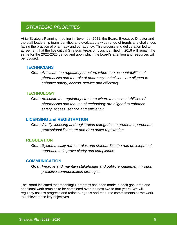## *STRATEGIC PRIORITIES*

At its Strategic Planning meeting in November 2021, the Board, Executive Director and the staff leadership team identified and evaluated a wide range of trends and challenges facing the practice of pharmacy and our agency. This process and deliberation led to agreement that the five critical Strategic Areas of focus identified in 2019 will remain the same for the 2022-2026 period and upon which the board's attention and resources will be focused.

#### **TECHNICIANS**

**Goal:** *Articulate the regulatory structure where the accountabilities of pharmacists and the role of pharmacy technicians are aligned to enhance safety, access, service and efficiency*

#### **TECHNOLOGY**

**Goal:** *Articulate the regulatory structure where the accountabilities of pharmacists and the use of technology are aligned to enhance safety, access, service and efficiency*

#### **LICENSING and REGISTRATION**

**Goal:** *Clarify licensing and registration categories to promote appropriate professional licensure and drug outlet registration*

#### **REGULATION**

**Goal:** *Systematically refresh rules and standardize the rule development approach to improve clarity and compliance*

#### **COMMUNICATION**

**Goal:** *Improve and maintain stakeholder and public engagement through proactive communication strategies*

The Board indicated that meaningful progress has been made in each goal area and additional work remains to be completed over the next two to four years. We will regularly assess progress and refine our goals and resource commitments as we work to achieve these key objectives.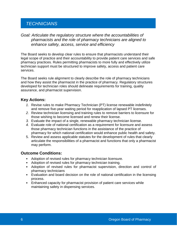# *TECHNICIANS*

*Goal: Articulate the regulatory structure where the accountabilities of pharmacists and the role of pharmacy technicians are aligned to enhance safety, access, service and efficiency*

The Board seeks to develop clear rules to ensure that pharmacists understand their legal scope of practice and their accountability to provide patient care services and safe pharmacy practices. Rules permitting pharmacists to more fully and effectively utilize technician support must be structured to improve safety, access and patient care services.

The Board seeks rule alignment to clearly describe the role of pharmacy technicians and how they assist the pharmacist in the practice of pharmacy. Regulatory structures developed for technician roles should delineate requirements for training, quality assurance, and pharmacist supervision.

#### **Key Actions:**

- *1.* Revise rules to make Pharmacy Technician (PT) license renewable indefinitely and remove five-year waiting period for reapplication of lapsed PT licenses.
- *2.* Review technician licensing and training rules to remove barriers to licensure for those wishing to become licensed and renew their license.
- *3.* Evaluate the impact of a single, renewable pharmacy technician license.
- *4.* Evaluate role of national certification as a requirement for licensure and assess those pharmacy technician functions in the assistance of the practice of pharmacy for which national certification would enhance public health and safety.
- 5. Review and assess applicable statutes for the development of rules that clearly articulate the responsibilities of a pharmacist and functions that only a pharmacist may perform.

- Adoption of revised rules for pharmacy technician licensure.
- Adoption of revised rules for pharmacy technician training.
- Adoption of revised rules for pharmacist supervision, direction and control of pharmacy technicians
- Evaluation and board decision on the role of national certification in the licensing process.
- Enhanced capacity for pharmacist provision of patient care services while maintaining safety in dispensing services.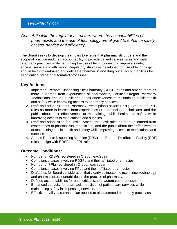# *TECHNOLOGY*

*Goal: Articulate the regulatory structure where the accountabilities of pharmacists and the use of technology are aligned to enhance safety, access, service and efficiency*

The Board seeks to develop clear rules to ensure that pharmacists understand their scope of practice and their accountability to provide patient care services and safe pharmacy practices while permitting the use of technologies that improve safety, access, service and efficiency. Regulatory structures developed for use of technology should be function-based and delineate pharmacist and drug outlet accountabilities for each critical stage of automated processes.

### **Key Actions:**

- 1. Implement Remote Dispensing Site Pharmacy (RDSP) rules and amend them as more is learned from experiences of pharmacists, Certified Oregon Pharmacy Technicians, and the public about their effectiveness at maintaining public health and safety while improving access to pharmacy services.
- 2. Draft and adopt rules for Pharmacy Prescription Lockers (PPL). Amend the PPL rules as more is learned from experiences of pharmacists, technicians, and the public about their effectiveness at maintaining public health and safety while improving access to medications and supplies.
- 3. Draft and adopt rules for kiosks. Amend the kiosk rules as more is learned from experiences of pharmacists, technicians, and the public about their effectiveness at maintaining public health and safety while improving access to medications and supplies.
- 4. Amend Remote Dispensing Machine (RDM) and Remote Distribution Facility (RDF) rules to align with RDSP and PPL rules.

- Number of RDSPs registered in Oregon each year.
- Compliance cases involving RDSPs and their affiliated pharmacies.
- Number of PPLs registered in Oregon each year.
- Compliance cases involving PPLs and their affiliated pharmacies.
- Draft rules for Board consideration that clearly delineate the use of new technology and pharmacist accountabilities in the practice of pharmacy.
- Defined accountabilities for each critical step in automated processes.
- Enhanced capacity for pharmacist provision of patient care services while maintaining safety in dispensing services.
- Effective quality assurance plan applied to all automated pharmacy processes.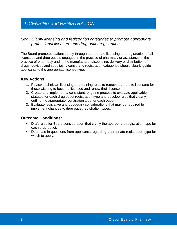## *LICENSING and REGISTRATION*

#### *Goal: Clarify licensing and registration categories to promote appropriate professional licensure and drug outlet registration*

The Board promotes patient safety through appropriate licensing and registration of all licensees and drug outlets engaged in the practice of pharmacy or assistance in the practice of pharmacy and in the manufacture, dispensing, delivery or distribution of drugs, devices and supplies. License and registration categories should clearly guide applicants to the appropriate license type.

### **Key Actions:**

- 1. Review technician licensing and training rules to remove barriers to licensure for those wishing to become licensed and renew their license.
- 2. Create and implement a consistent, ongoing process to evaluate applicable statutes for each drug outlet registration type and develop rules that clearly outline the appropriate registration type for each outlet.
- 3. Evaluate legislative and budgetary considerations that may be required to implement changes to drug outlet registration types.

- Draft rules for Board consideration that clarify the appropriate registration type for each drug outlet.
- Decrease in questions from applicants regarding appropriate registration type for which to apply.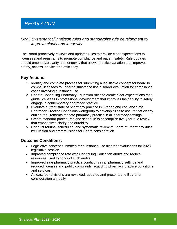# *REGULATION*

#### *Goal: Systematically refresh rules and standardize rule development to improve clarity and longevity*

The Board proactively reviews and updates rules to provide clear expectations to licensees and registrants to promote compliance and patient safety. Rule updates should emphasize clarity and longevity that allows practice variation that improves safety, access, service and efficiency.

### **Key Actions:**

- 1. Identify and complete process for submitting a legislative concept for board to compel licensees to undergo substance use disorder evaluation for compliance cases involving substance use.
- 2. Update Continuing Pharmacy Education rules to create clear expectations that guide licensees in professional development that improves their ability to safely engage in contemporary pharmacy practice.
- 3. Evaluate current state of pharmacy practice in Oregon and convene Safe Pharmacy Practice Conditions workgroup to develop rules to assure that clearly outline requirements for safe pharmacy practice in all pharmacy settings.
- 4. Create standard procedures and schedule to accomplish five-year rule review that emphasizes clarity and durability.
- 5. Conduct routine, scheduled, and systematic review of Board of Pharmacy rules by Division and draft revisions for Board consideration.

- Legislative concept submitted for substance use disorder evaluations for 2023 legislative session.
- Improved compliance rate with Continuing Education audits and reduce resources used to conduct such audits.
- Improved safe pharmacy practice conditions in all pharmacy settings and reduced licensee and public complaints regarding pharmacy practice conditions and services.
- At least four divisions are reviewed, updated and presented to Board for consideration annually.